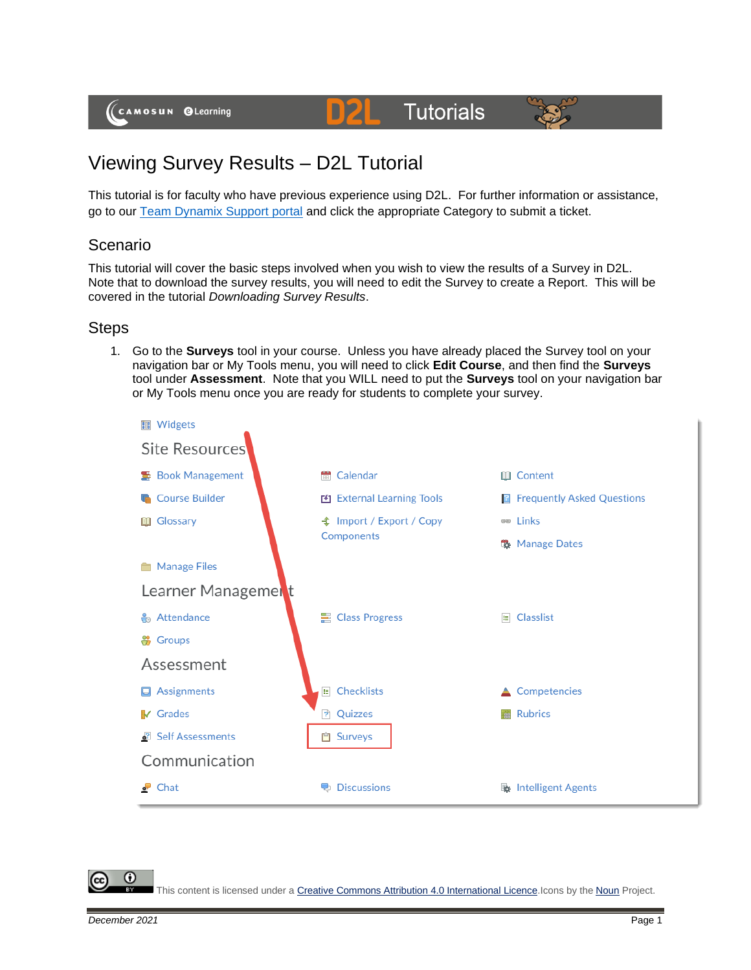(CAMOSUN @Learning

#### **Tutorials** D21



# Viewing Survey Results – D2L Tutorial

This tutorial is for faculty who have previous experience using D2L. For further information or assistance, go to our [Team Dynamix Support portal](https://camosun.teamdynamix.com/TDClient/67/Portal/Requests/ServiceCatalog?CategoryID=523) and click the appropriate Category to submit a ticket.

## Scenario

This tutorial will cover the basic steps involved when you wish to view the results of a Survey in D2L. Note that to download the survey results, you will need to edit the Survey to create a Report. This will be covered in the tutorial *Downloading Survey Results*.

### Steps

1. Go to the **Surveys** tool in your course. Unless you have already placed the Survey tool on your navigation bar or My Tools menu, you will need to click **Edit Course**, and then find the **Surveys** tool under **Assessment**. Note that you WILL need to put the **Surveys** tool on your navigation bar or My Tools menu once you are ready for students to complete your survey.



G

This content is licensed under [a Creative Commons Attribution 4.0 International Licence.I](https://creativecommons.org/licenses/by/4.0/)cons by the [Noun](https://creativecommons.org/website-icons/) Project.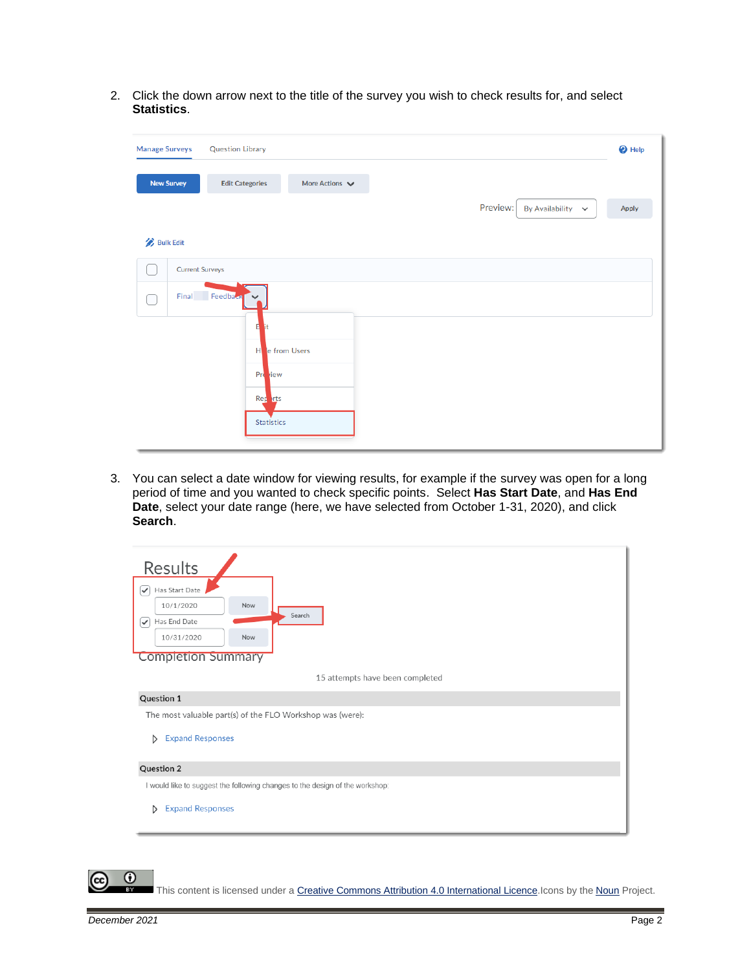2. Click the down arrow next to the title of the survey you wish to check results for, and select **Statistics**.

| <b>Manage Surveys</b> | <b>Question Library</b>                                      | <sup>O</sup> Help |
|-----------------------|--------------------------------------------------------------|-------------------|
| <b>New Survey</b>     | <b>Edit Categories</b><br>More Actions $\blacktriangleright$ |                   |
|                       | Preview:<br>By Availability $\sim$                           | Apply             |
| <b>Bulk Edit</b>      |                                                              |                   |
|                       | <b>Current Surveys</b>                                       |                   |
|                       | Final Feedback<br>$\checkmark$                               |                   |
|                       | Е                                                            |                   |
|                       | e from Users<br>н                                            |                   |
|                       | Pre riew                                                     |                   |
|                       | Reparts                                                      |                   |
|                       | <b>Statistics</b>                                            |                   |

3. You can select a date window for viewing results, for example if the survey was open for a long period of time and you wanted to check specific points. Select **Has Start Date**, and **Has End Date**, select your date range (here, we have selected from October 1-31, 2020), and click **Search**.

| Results<br>Has Start Date<br>$\checkmark$<br>10/1/2020<br>Now<br>Search<br>Has End Date<br>✓<br>10/31/2020<br>Now<br><b>Completion Summary</b> |  |  |  |  |  |
|------------------------------------------------------------------------------------------------------------------------------------------------|--|--|--|--|--|
| 15 attempts have been completed                                                                                                                |  |  |  |  |  |
| <b>Question 1</b>                                                                                                                              |  |  |  |  |  |
| The most valuable part(s) of the FLO Workshop was (were):                                                                                      |  |  |  |  |  |
| <b>Expand Responses</b><br>D                                                                                                                   |  |  |  |  |  |
| Question 2                                                                                                                                     |  |  |  |  |  |
| I would like to suggest the following changes to the design of the workshop:                                                                   |  |  |  |  |  |
| <b>Expand Responses</b><br>D                                                                                                                   |  |  |  |  |  |



This content is licensed under [a Creative Commons Attribution 4.0 International Licence.I](https://creativecommons.org/licenses/by/4.0/)cons by the [Noun](https://creativecommons.org/website-icons/) Project.